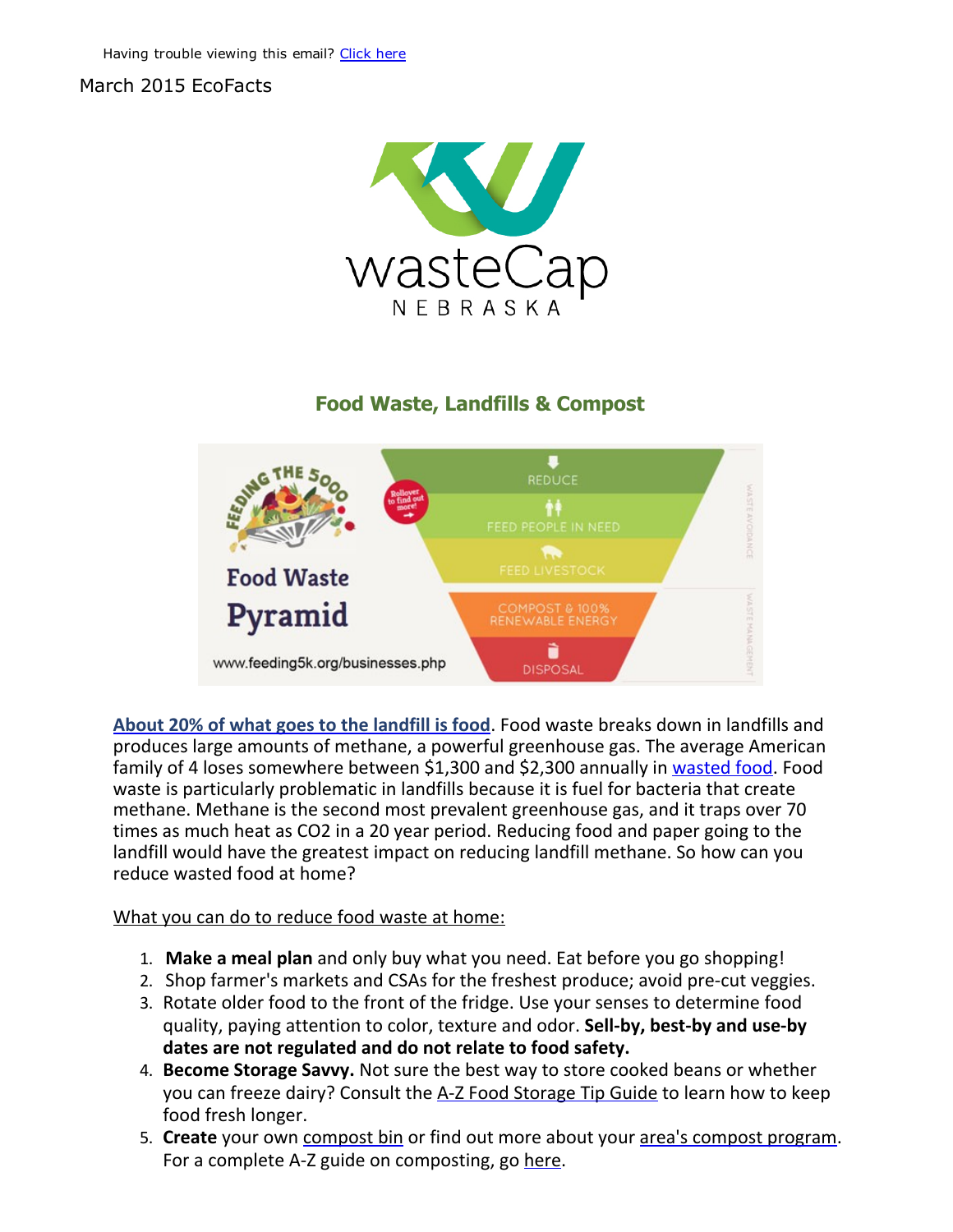## March 2015 EcoFacts



## Food Waste, Landfills & Compost



About 20% of what goes to the [landfill](http://r20.rs6.net/tn.jsp?e=001HHHreGL4WlFNG1OR4J1w0eJeeSIelAZOW6aNv6qHNU_MA13vQ2qgnCmOcmLD-oK11UVKEMbISfxF784euhjOw8lJy9EQ-RvfLbch7fbnFMbD9IgBFpKo2EKQPSU5luxQvZHHsv9Emf3ef6Q5rGsyfF03LuGB2JOGKTRMJWXG3lY=) is food. Food waste breaks down in landfills and produces large amounts of methane, a powerful greenhouse gas. The average American family of 4 loses somewhere between \$1,300 and \$2,300 annually in [wasted](http://r20.rs6.net/tn.jsp?e=001HHHreGL4WlFNG1OR4J1w0eJeeSIelAZOW6aNv6qHNU_MA13vQ2qgnCmOcmLD-oK11UVKEMbISfzqhnX8xKJimzfeFjP9V7jnRqORJEFvTQUxwRigErav6bnYGhVqm43ndP-lx1G2rjI16a46MhXJpg==) food. Food waste is particularly problematic in landfills because it is fuel for bacteria that create methane. Methane is the second most prevalent greenhouse gas, and it traps over 70 times as much heat as CO2 in a 20 year period. Reducing food and paper going to the landfill would have the greatest impact on reducing landfill methane. So how can you reduce wasted food at home?

## What you can do to reduce food waste at home:

- 1. Make a meal plan and only buy what you need. Eat before you go shopping!
- 2. Shop farmer's markets and CSAs for the freshest produce; avoid pre‐cut veggies.
- 3. Rotate older food to the front of the fridge. Use your senses to determine food quality, paying attention to color, texture and odor. Sell-by, best-by and use-by dates are not regulated and do not relate to food safety.
- 4. Become Storage Savvy. Not sure the best way to store cooked beans or whether you can freeze dairy? Consult the A-Z Food [Storage](http://r20.rs6.net/tn.jsp?e=001HHHreGL4WlFNG1OR4J1w0eJeeSIelAZOW6aNv6qHNU_MA13vQ2qgnCmOcmLD-oK11UVKEMbISfyIrVYbSM1z-WGMQqohzZRbIVQgMgmTu_h8fLLc7lFxUkKRQhOGhLOrA1dKVxFpA-OsYTDu-Jyk6NSVYmf6bKODlnLJjjmlP6CeW3bDVJ8QLFTK9Lwpo3Xh) Tip Guide to learn how to keep food fresh longer.
- 5. Create your own [compost](http://r20.rs6.net/tn.jsp?e=001HHHreGL4WlFNG1OR4J1w0eJeeSIelAZOW6aNv6qHNU_MA13vQ2qgnCmOcmLD-oK11UVKEMbISfxF784euhjOw8lJy9EQ-RvfusLRl03nb6SCKPvKZxmz6ZIZLZMj22TN) bin or find out more about your area's compost program. For a complete A-Z guide on composting, go [here.](http://r20.rs6.net/tn.jsp?e=001HHHreGL4WlFNG1OR4J1w0eJeeSIelAZOW6aNv6qHNU_MA13vQ2qgnCmOcmLD-oK11UVKEMbISfzxuhIuomiHqZfDIIjdurQml0ND7W8bqQyEDUgiNlTOVoUMB1QEzYttrjAK7INowjuMY6_H9Qrwhi2sADugLyZvZ2soJfUoDbc=)